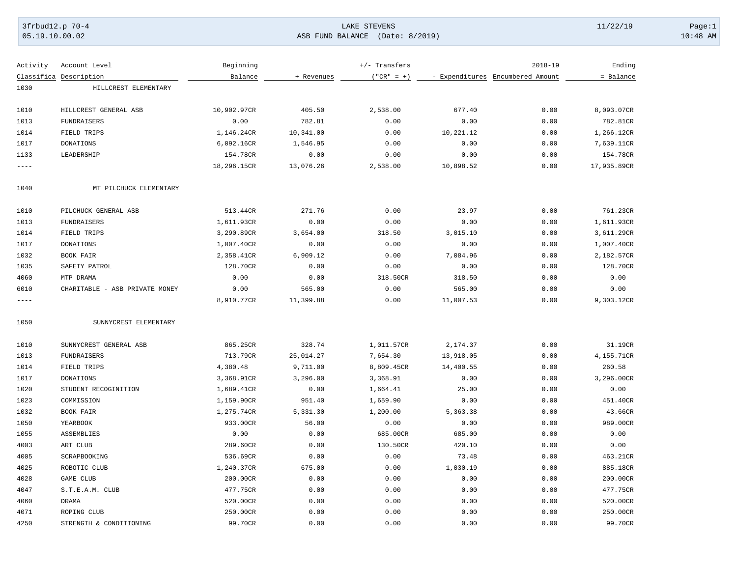## 3frbud12.p 70-4 Page:1 Page:1 Page:1 Page:1 Page:1 Page:1 Page:1 Page:1 Page:1 Page:1 Page:1 Page:1 Page:1 Page:1 Page:1 Page:1 Page:1 Page:1 Page:1 Page:1 Page:1 Page:1 Page:1 Page:1 Page:1 Page:1 Page:1 Page:1 Page:1 Pag 05.19.10.00.02 ASB FUND BALANCE (Date: 8/2019) 10:48 AM

| Activity  | Account Level                  | Beginning   |            | +/- Transfers |           | $2018 - 19$                      | Ending      |
|-----------|--------------------------------|-------------|------------|---------------|-----------|----------------------------------|-------------|
|           | Classifica Description         | Balance     | + Revenues | $('"CR" = +)$ |           | - Expenditures Encumbered Amount | = Balance   |
| 1030      | HILLCREST ELEMENTARY           |             |            |               |           |                                  |             |
|           |                                |             |            |               |           |                                  |             |
| 1010      | HILLCREST GENERAL ASB          | 10,902.97CR | 405.50     | 2,538.00      | 677.40    | 0.00                             | 8,093.07CR  |
| 1013      | FUNDRAISERS                    | 0.00        | 782.81     | 0.00          | 0.00      | 0.00                             | 782.81CR    |
| 1014      | FIELD TRIPS                    | 1,146.24CR  | 10,341.00  | 0.00          | 10,221.12 | 0.00                             | 1,266.12CR  |
| 1017      | <b>DONATIONS</b>               | 6,092.16CR  | 1,546.95   | 0.00          | 0.00      | 0.00                             | 7,639.11CR  |
| 1133      | LEADERSHIP                     | 154.78CR    | 0.00       | 0.00          | 0.00      | 0.00                             | 154.78CR    |
| $- - - -$ |                                | 18,296.15CR | 13,076.26  | 2,538.00      | 10,898.52 | 0.00                             | 17,935.89CR |
| 1040      | MT PILCHUCK ELEMENTARY         |             |            |               |           |                                  |             |
| 1010      | PILCHUCK GENERAL ASB           | 513.44CR    | 271.76     | 0.00          | 23.97     | 0.00                             | 761.23CR    |
| 1013      | <b>FUNDRAISERS</b>             | 1,611.93CR  | 0.00       | 0.00          | 0.00      | 0.00                             | 1,611.93CR  |
| 1014      | FIELD TRIPS                    | 3,290.89CR  | 3,654.00   | 318.50        | 3,015.10  | 0.00                             | 3,611.29CR  |
| 1017      | <b>DONATIONS</b>               | 1,007.40CR  | 0.00       | 0.00          | 0.00      | 0.00                             | 1,007.40CR  |
| 1032      | BOOK FAIR                      | 2,358.41CR  | 6,909.12   | 0.00          | 7,084.96  | 0.00                             | 2,182.57CR  |
| 1035      | SAFETY PATROL                  | 128.70CR    | 0.00       | 0.00          | 0.00      | 0.00                             | 128.70CR    |
| 4060      | MTP DRAMA                      | 0.00        | 0.00       | 318.50CR      | 318.50    | 0.00                             | 0.00        |
| 6010      | CHARITABLE - ASB PRIVATE MONEY | 0.00        | 565.00     | 0.00          | 565.00    | 0.00                             | 0.00        |
| $- - - -$ |                                | 8,910.77CR  | 11,399.88  | 0.00          | 11,007.53 | 0.00                             | 9,303.12CR  |
| 1050      | SUNNYCREST ELEMENTARY          |             |            |               |           |                                  |             |
| 1010      | SUNNYCREST GENERAL ASB         | 865.25CR    | 328.74     | 1,011.57CR    | 2,174.37  | 0.00                             | 31.19CR     |
| 1013      | FUNDRAISERS                    | 713.79CR    | 25,014.27  | 7,654.30      | 13,918.05 | 0.00                             | 4,155.71CR  |
| 1014      | FIELD TRIPS                    | 4,380.48    | 9,711.00   | 8,809.45CR    | 14,400.55 | 0.00                             | 260.58      |
| 1017      | DONATIONS                      | 3,368.91CR  | 3,296.00   | 3,368.91      | 0.00      | 0.00                             | 3,296.00CR  |
| 1020      | STUDENT RECOGINITION           | 1,689.41CR  | 0.00       | 1,664.41      | 25.00     | 0.00                             | 0.00        |
| 1023      | COMMISSION                     | 1,159.90CR  | 951.40     | 1,659.90      | 0.00      | 0.00                             | 451.40CR    |
| 1032      | BOOK FAIR                      | 1,275.74CR  | 5,331.30   | 1,200.00      | 5,363.38  | 0.00                             | 43.66CR     |
| 1050      | YEARBOOK                       | 933.00CR    | 56.00      | 0.00          | 0.00      | 0.00                             | 989.00CR    |
| 1055      | ASSEMBLIES                     | 0.00        | 0.00       | 685.00CR      | 685.00    | 0.00                             | 0.00        |
| 4003      | ART CLUB                       | 289.60CR    | 0.00       | 130.50CR      | 420.10    | 0.00                             | 0.00        |
| 4005      | SCRAPBOOKING                   | 536.69CR    | 0.00       | 0.00          | 73.48     | 0.00                             | 463.21CR    |
| 4025      | ROBOTIC CLUB                   | 1,240.37CR  | 675.00     | 0.00          | 1,030.19  | 0.00                             | 885.18CR    |
| 4028      | GAME CLUB                      | 200.00CR    | 0.00       | 0.00          | 0.00      | 0.00                             | 200.00CR    |
| 4047      | S.T.E.A.M. CLUB                | 477.75CR    | 0.00       | 0.00          | 0.00      | 0.00                             | 477.75CR    |
| 4060      | <b>DRAMA</b>                   | 520.00CR    | 0.00       | 0.00          | 0.00      | 0.00                             | 520.00CR    |
| 4071      | ROPING CLUB                    | 250.00CR    | 0.00       | 0.00          | 0.00      | 0.00                             | 250.00CR    |
| 4250      | STRENGTH & CONDITIONING        | 99.70CR     | 0.00       | 0.00          | 0.00      | 0.00                             | 99.70CR     |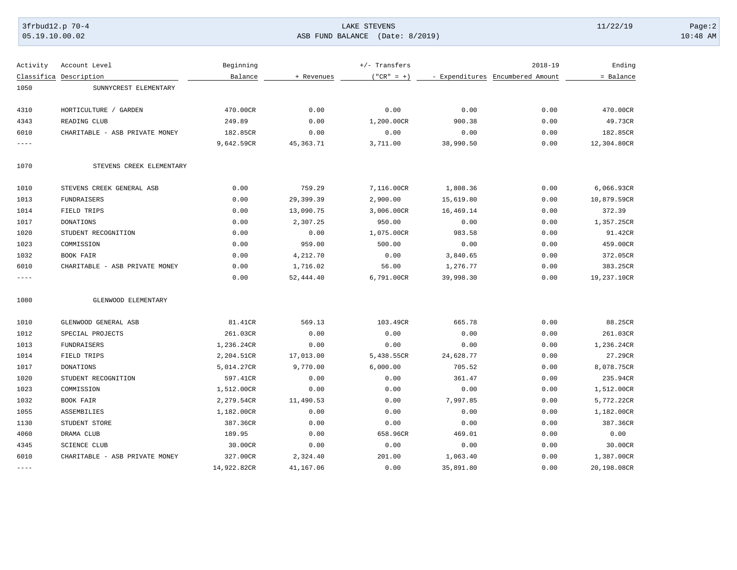## 3frbud12.p 70-4 Page:2 Page:2 Page:2 Page:2 Page:2 Page:2 Page:2 Page:2 Page:2 Page:2 Page:2 Page:2 Page:2 Page:2 Page:2 Page:2 Page:2 Page:2 Page:2 Page:2 Page:2 Page:2 Page:2 Page:2 Page:2 Page:2 Page:2 Page:2 Page:2 Pag 05.19.10.00.02 ASB FUND BALANCE (Date: 8/2019) 10:48 AM

| Activity    | Account Level                  | Beginning   |             | $+/-$ Transfers |           | $2018 - 19$                      | Ending      |
|-------------|--------------------------------|-------------|-------------|-----------------|-----------|----------------------------------|-------------|
|             | Classifica Description         | Balance     | + Revenues  | $("CR" = +)$    |           | - Expenditures Encumbered Amount | = Balance   |
| 1050        | SUNNYCREST ELEMENTARY          |             |             |                 |           |                                  |             |
|             |                                |             |             |                 |           |                                  |             |
| 4310        | HORTICULTURE / GARDEN          | 470.00CR    | 0.00        | 0.00            | 0.00      | 0.00                             | 470.00CR    |
| 4343        | READING CLUB                   | 249.89      | 0.00        | 1,200.00CR      | 900.38    | 0.00                             | 49.73CR     |
| 6010        | CHARITABLE - ASB PRIVATE MONEY | 182.85CR    | 0.00        | 0.00            | 0.00      | 0.00                             | 182.85CR    |
| $- - - - -$ |                                | 9,642.59CR  | 45, 363. 71 | 3,711.00        | 38,990.50 | 0.00                             | 12,304.80CR |
| 1070        | STEVENS CREEK ELEMENTARY       |             |             |                 |           |                                  |             |
| 1010        | STEVENS CREEK GENERAL ASB      | 0.00        | 759.29      | 7,116.00CR      | 1,808.36  | 0.00                             | 6,066.93CR  |
| 1013        | FUNDRAISERS                    | 0.00        | 29,399.39   | 2,900.00        | 15,619.80 | 0.00                             | 10,879.59CR |
| 1014        | FIELD TRIPS                    | 0.00        | 13,090.75   | 3,006.00CR      | 16,469.14 | 0.00                             | 372.39      |
| 1017        | DONATIONS                      | 0.00        | 2,307.25    | 950.00          | 0.00      | 0.00                             | 1,357.25CR  |
| 1020        | STUDENT RECOGNITION            | 0.00        | 0.00        | 1,075.00CR      | 983.58    | 0.00                             | 91.42CR     |
| 1023        | COMMISSION                     | 0.00        | 959.00      | 500.00          | 0.00      | 0.00                             | 459.00CR    |
| 1032        | BOOK FAIR                      | 0.00        | 4,212.70    | 0.00            | 3,840.65  | 0.00                             | 372.05CR    |
| 6010        | CHARITABLE - ASB PRIVATE MONEY | 0.00        | 1,716.02    | 56.00           | 1,276.77  | 0.00                             | 383.25CR    |
| $- - - - -$ |                                | 0.00        | 52,444.40   | 6,791.00CR      | 39,998.30 | 0.00                             | 19,237.10CR |
| 1080        | GLENWOOD ELEMENTARY            |             |             |                 |           |                                  |             |
| 1010        | GLENWOOD GENERAL ASB           | 81.41CR     | 569.13      | 103.49CR        | 665.78    | 0.00                             | 88.25CR     |
| 1012        | SPECIAL PROJECTS               | 261.03CR    | 0.00        | 0.00            | 0.00      | 0.00                             | 261.03CR    |
| 1013        | FUNDRAISERS                    | 1,236.24CR  | 0.00        | 0.00            | 0.00      | 0.00                             | 1,236.24CR  |
| 1014        | FIELD TRIPS                    | 2,204.51CR  | 17,013.00   | 5,438.55CR      | 24,628.77 | 0.00                             | 27.29CR     |
| 1017        | <b>DONATIONS</b>               | 5,014.27CR  | 9,770.00    | 6,000.00        | 705.52    | 0.00                             | 8,078.75CR  |
| 1020        | STUDENT RECOGNITION            | 597.41CR    | 0.00        | 0.00            | 361.47    | 0.00                             | 235.94CR    |
| 1023        | COMMISSION                     | 1,512.00CR  | 0.00        | 0.00            | 0.00      | 0.00                             | 1,512.00CR  |
| 1032        | BOOK FAIR                      | 2,279.54CR  | 11,490.53   | 0.00            | 7,997.85  | 0.00                             | 5,772.22CR  |
| 1055        | ASSEMBILIES                    | 1,182.00CR  | 0.00        | 0.00            | 0.00      | 0.00                             | 1,182.00CR  |
| 1130        | STUDENT STORE                  | 387.36CR    | 0.00        | 0.00            | 0.00      | 0.00                             | 387.36CR    |
| 4060        | DRAMA CLUB                     | 189.95      | 0.00        | 658.96CR        | 469.01    | 0.00                             | 0.00        |
| 4345        | <b>SCIENCE CLUB</b>            | 30.00CR     | 0.00        | 0.00            | 0.00      | 0.00                             | 30.00CR     |
| 6010        | CHARITABLE - ASB PRIVATE MONEY | 327.00CR    | 2,324.40    | 201.00          | 1,063.40  | 0.00                             | 1,387.00CR  |
| $---$       |                                | 14,922.82CR | 41,167.06   | 0.00            | 35,891.80 | 0.00                             | 20,198.08CR |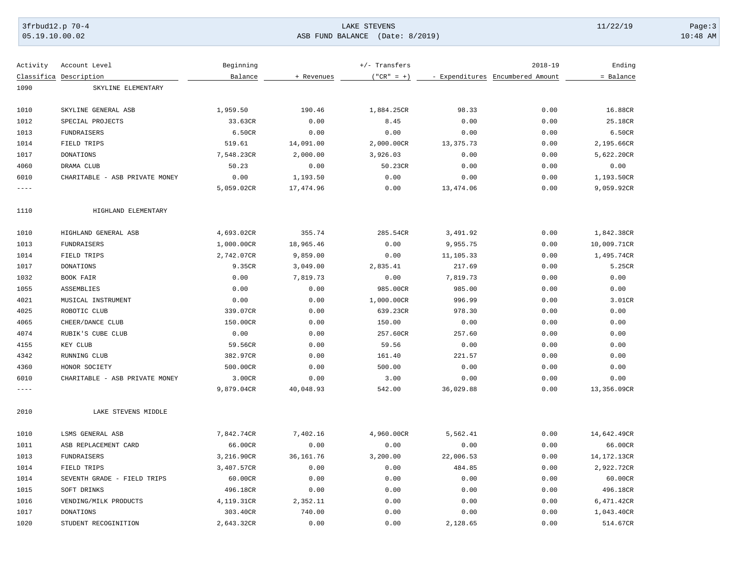## 3frbud12.p 70-4 Page:3 Page:3 Page:3 Page:3 Page:3 Page:3 Page:3 Page:3 Page:3 Page:3 Page:3 Page:3 Page:3 Page:3 Page:3 Page:3 Page:3 Page:3 Page:3 Page:3 Page:3 Page:3 Page:3 Page:3 Page:3 Page:3 Page:3 Page:3 Page:3 Pag 05.19.10.00.02 ASB FUND BALANCE (Date: 8/2019) 10:48 AM

| Activity  | Account Level                  | Beginning  |            | +/- Transfers |           | $2018 - 19$                      | Ending      |
|-----------|--------------------------------|------------|------------|---------------|-----------|----------------------------------|-------------|
|           | Classifica Description         | Balance    | + Revenues | $('"CR" = +)$ |           | - Expenditures Encumbered Amount | = Balance   |
| 1090      | SKYLINE ELEMENTARY             |            |            |               |           |                                  |             |
|           |                                |            |            |               |           |                                  |             |
| 1010      | SKYLINE GENERAL ASB            | 1,959.50   | 190.46     | 1,884.25CR    | 98.33     | 0.00                             | 16.88CR     |
| 1012      | SPECIAL PROJECTS               | 33.63CR    | 0.00       | 8.45          | 0.00      | 0.00                             | 25.18CR     |
| 1013      | FUNDRAISERS                    | 6.50CR     | 0.00       | 0.00          | 0.00      | 0.00                             | 6.50CR      |
| 1014      | FIELD TRIPS                    | 519.61     | 14,091.00  | 2,000.00CR    | 13,375.73 | 0.00                             | 2,195.66CR  |
| 1017      | <b>DONATIONS</b>               | 7,548.23CR | 2,000.00   | 3,926.03      | 0.00      | 0.00                             | 5,622.20CR  |
| 4060      | DRAMA CLUB                     | 50.23      | 0.00       | 50.23CR       | 0.00      | 0.00                             | 0.00        |
| 6010      | CHARITABLE - ASB PRIVATE MONEY | 0.00       | 1,193.50   | 0.00          | 0.00      | 0.00                             | 1,193.50CR  |
| $- - - -$ |                                | 5,059.02CR | 17,474.96  | 0.00          | 13,474.06 | 0.00                             | 9,059.92CR  |
| 1110      | HIGHLAND ELEMENTARY            |            |            |               |           |                                  |             |
| 1010      | HIGHLAND GENERAL ASB           | 4,693.02CR | 355.74     | 285.54CR      | 3,491.92  | 0.00                             | 1,842.38CR  |
| 1013      | <b>FUNDRAISERS</b>             | 1,000.00CR | 18,965.46  | 0.00          | 9,955.75  | 0.00                             | 10,009.71CR |
| 1014      | FIELD TRIPS                    | 2,742.07CR | 9,859.00   | 0.00          | 11,105.33 | 0.00                             | 1,495.74CR  |
| 1017      | <b>DONATIONS</b>               | 9.35CR     | 3,049.00   | 2,835.41      | 217.69    | 0.00                             | 5.25CR      |
| 1032      | BOOK FAIR                      | 0.00       | 7,819.73   | 0.00          | 7,819.73  | 0.00                             | 0.00        |
| 1055      | ASSEMBLIES                     | 0.00       | 0.00       | 985.00CR      | 985.00    | 0.00                             | 0.00        |
| 4021      | MUSICAL INSTRUMENT             | 0.00       | 0.00       | 1,000.00CR    | 996.99    | 0.00                             | 3.01CR      |
| 4025      | ROBOTIC CLUB                   | 339.07CR   | 0.00       | 639.23CR      | 978.30    | 0.00                             | 0.00        |
| 4065      | CHEER/DANCE CLUB               | 150.00CR   | 0.00       | 150.00        | 0.00      | 0.00                             | 0.00        |
| 4074      | RUBIK'S CUBE CLUB              | 0.00       | 0.00       | 257.60CR      | 257.60    | 0.00                             | 0.00        |
| 4155      | KEY CLUB                       | 59.56CR    | 0.00       | 59.56         | 0.00      | 0.00                             | 0.00        |
| 4342      | RUNNING CLUB                   | 382.97CR   | 0.00       | 161.40        | 221.57    | 0.00                             | 0.00        |
| 4360      | HONOR SOCIETY                  | 500.00CR   | 0.00       | 500.00        | 0.00      | 0.00                             | 0.00        |
| 6010      | CHARITABLE - ASB PRIVATE MONEY | 3.00CR     | 0.00       | 3.00          | 0.00      | 0.00                             | 0.00        |
| $- - - -$ |                                | 9,879.04CR | 40,048.93  | 542.00        | 36,029.88 | 0.00                             | 13,356.09CR |
| 2010      | LAKE STEVENS MIDDLE            |            |            |               |           |                                  |             |
| 1010      | LSMS GENERAL ASB               | 7,842.74CR | 7,402.16   | 4,960.00CR    | 5,562.41  | 0.00                             | 14,642.49CR |
| 1011      | ASB REPLACEMENT CARD           | 66.00CR    | 0.00       | 0.00          | 0.00      | 0.00                             | 66.00CR     |
| 1013      | FUNDRAISERS                    | 3,216.90CR | 36, 161.76 | 3,200.00      | 22,006.53 | 0.00                             | 14,172.13CR |
| 1014      | FIELD TRIPS                    | 3,407.57CR | 0.00       | 0.00          | 484.85    | 0.00                             | 2,922.72CR  |
| 1014      | SEVENTH GRADE - FIELD TRIPS    | 60.00CR    | 0.00       | 0.00          | 0.00      | 0.00                             | 60.00CR     |
| 1015      | SOFT DRINKS                    | 496.18CR   | 0.00       | 0.00          | 0.00      | 0.00                             | 496.18CR    |
| 1016      | VENDING/MILK PRODUCTS          | 4,119.31CR | 2,352.11   | 0.00          | 0.00      | 0.00                             | 6,471.42CR  |
| 1017      | <b>DONATIONS</b>               | 303.40CR   | 740.00     | 0.00          | 0.00      | 0.00                             | 1,043.40CR  |
| 1020      | STUDENT RECOGINITION           | 2,643.32CR | 0.00       | 0.00          | 2,128.65  | 0.00                             | 514.67CR    |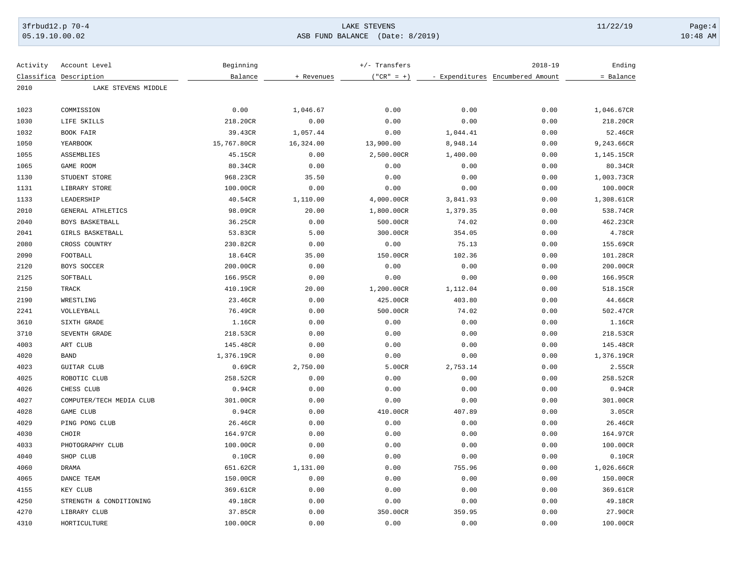# 3frbud12.p 70-4 Page:4 Page:4 Page:4 Page:4 Page:4 Page:4 Page:4 Page:4 Page:4 Page:4 Page:4 Page:4 Page:4 Page:4 Page:4 Page:4 Page:4 Page:4 Page:4 Page:4 Page:4 Page:4 Page:4 Page:4 Page:4 Page:4 Page:4 Page:4 Page:4 Pag 05.19.10.00.02 ASB FUND BALANCE (Date: 8/2019) 10:48 AM

| Activity | Account Level            | Beginning   |            | +/- Transfers |          | $2018 - 19$                      | Ending     |
|----------|--------------------------|-------------|------------|---------------|----------|----------------------------------|------------|
|          | Classifica Description   | Balance     | + Revenues | $("CR" = +)$  |          | - Expenditures Encumbered Amount | = Balance  |
| 2010     | LAKE STEVENS MIDDLE      |             |            |               |          |                                  |            |
| 1023     | COMMISSION               | 0.00        | 1,046.67   | 0.00          | 0.00     | 0.00                             | 1,046.67CR |
| 1030     | LIFE SKILLS              | 218.20CR    | 0.00       | 0.00          | 0.00     | 0.00                             | 218.20CR   |
| 1032     | BOOK FAIR                | 39.43CR     | 1,057.44   | 0.00          | 1,044.41 | 0.00                             | 52.46CR    |
| 1050     | YEARBOOK                 | 15,767.80CR | 16,324.00  | 13,900.00     | 8,948.14 | 0.00                             | 9,243.66CR |
| 1055     | ASSEMBLIES               | 45.15CR     | 0.00       | 2,500.00CR    | 1,400.00 | 0.00                             | 1,145.15CR |
| 1065     | GAME ROOM                | 80.34CR     | 0.00       | 0.00          | 0.00     | 0.00                             | 80.34CR    |
| 1130     | STUDENT STORE            | 968.23CR    | 35.50      | 0.00          | 0.00     | 0.00                             | 1,003.73CR |
| 1131     | LIBRARY STORE            | 100.00CR    | 0.00       | 0.00          | 0.00     | 0.00                             | 100.00CR   |
| 1133     | LEADERSHIP               | 40.54CR     | 1,110.00   | 4,000.00CR    | 3,841.93 | 0.00                             | 1,308.61CR |
| 2010     | GENERAL ATHLETICS        | 98.09CR     | 20.00      | 1,800.00CR    | 1,379.35 | 0.00                             | 538.74CR   |
| 2040     | BOYS BASKETBALL          | 36.25CR     | 0.00       | 500.00CR      | 74.02    | 0.00                             | 462.23CR   |
| 2041     | GIRLS BASKETBALL         | 53.83CR     | 5.00       | 300.00CR      | 354.05   | 0.00                             | 4.78CR     |
| 2080     | CROSS COUNTRY            | 230.82CR    | 0.00       | 0.00          | 75.13    | 0.00                             | 155.69CR   |
| 2090     | FOOTBALL                 | 18.64CR     | 35.00      | 150.00CR      | 102.36   | 0.00                             | 101.28CR   |
| 2120     | BOYS SOCCER              | 200.00CR    | 0.00       | 0.00          | 0.00     | 0.00                             | 200.00CR   |
| 2125     | SOFTBALL                 | 166.95CR    | 0.00       | 0.00          | 0.00     | 0.00                             | 166.95CR   |
| 2150     | TRACK                    | 410.19CR    | 20.00      | 1,200.00CR    | 1,112.04 | 0.00                             | 518.15CR   |
| 2190     | WRESTLING                | 23.46CR     | 0.00       | 425.00CR      | 403.80   | 0.00                             | 44.66CR    |
| 2241     | VOLLEYBALL               | 76.49CR     | 0.00       | 500.00CR      | 74.02    | 0.00                             | 502.47CR   |
| 3610     | SIXTH GRADE              | 1.16CR      | 0.00       | 0.00          | 0.00     | 0.00                             | 1.16CR     |
| 3710     | SEVENTH GRADE            | 218.53CR    | 0.00       | 0.00          | 0.00     | 0.00                             | 218.53CR   |
| 4003     | ART CLUB                 | 145.48CR    | 0.00       | 0.00          | 0.00     | 0.00                             | 145.48CR   |
| 4020     | <b>BAND</b>              | 1,376.19CR  | 0.00       | 0.00          | 0.00     | 0.00                             | 1,376.19CR |
| 4023     | GUITAR CLUB              | 0.69CR      | 2,750.00   | 5.00CR        | 2,753.14 | 0.00                             | 2.55CR     |
| 4025     | ROBOTIC CLUB             | 258.52CR    | 0.00       | 0.00          | 0.00     | 0.00                             | 258.52CR   |
| 4026     | CHESS CLUB               | 0.94CR      | 0.00       | 0.00          | 0.00     | 0.00                             | 0.94CR     |
| 4027     | COMPUTER/TECH MEDIA CLUB | 301.00CR    | 0.00       | 0.00          | 0.00     | 0.00                             | 301.00CR   |
| 4028     | GAME CLUB                | 0.94CR      | 0.00       | 410.00CR      | 407.89   | 0.00                             | 3.05CR     |
| 4029     | PING PONG CLUB           | 26.46CR     | 0.00       | 0.00          | 0.00     | 0.00                             | 26.46CR    |
| 4030     | CHOIR                    | 164.97CR    | 0.00       | 0.00          | 0.00     | 0.00                             | 164.97CR   |
| 4033     | PHOTOGRAPHY CLUB         | 100.00CR    | 0.00       | 0.00          | 0.00     | 0.00                             | 100.00CR   |
| 4040     | SHOP CLUB                | 0.10CR      | 0.00       | 0.00          | 0.00     | 0.00                             | 0.10CR     |
| 4060     | DRAMA                    | 651.62CR    | 1,131.00   | 0.00          | 755.96   | 0.00                             | 1,026.66CR |
| 4065     | DANCE TEAM               | 150.00CR    | 0.00       | 0.00          | 0.00     | 0.00                             | 150.00CR   |
| 4155     | KEY CLUB                 | 369.61CR    | 0.00       | 0.00          | 0.00     | 0.00                             | 369.61CR   |
| 4250     | STRENGTH & CONDITIONING  | 49.18CR     | 0.00       | 0.00          | 0.00     | 0.00                             | 49.18CR    |
| 4270     | LIBRARY CLUB             | 37.85CR     | 0.00       | 350.00CR      | 359.95   | 0.00                             | 27.90CR    |
| 4310     | HORTICULTURE             | 100.00CR    | 0.00       | 0.00          | 0.00     | 0.00                             | 100.00CR   |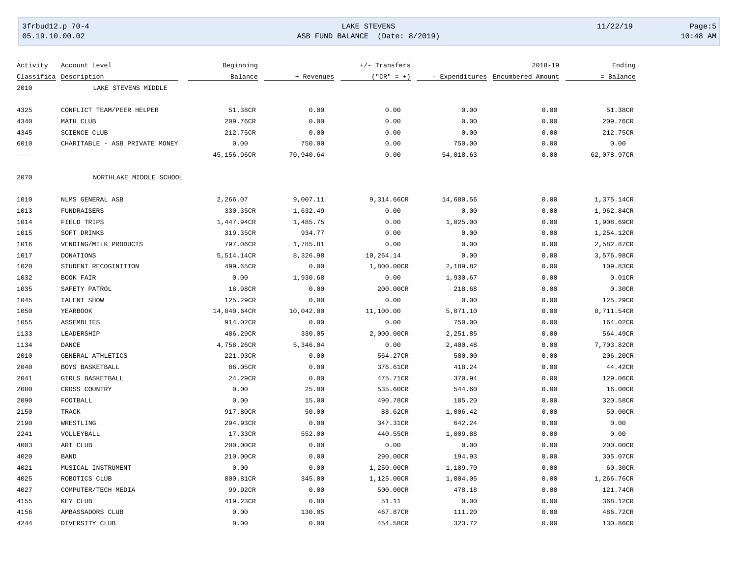# 3frbud12.p 70-4 Page:5 Page:5 Page:5 Page:5 Page:5 Page:5 Page:5 Page:5 Page:5 Page:5 Page:5 Page:5 Page:5 Page:5 Page:5 Page:5 Page:5 Page:5 Page:5 Page:5 Page:5 Page:5 Page:5 Page:5 Page:5 Page:5 Page:5 Page:5 Page:5 Pag 05.19.10.00.02 ASB FUND BALANCE (Date: 8/2019) 10:48 AM

| Activity  | Account Level                  | Beginning   |            | +/- Transfers |                                  | $2018 - 19$ | Ending      |
|-----------|--------------------------------|-------------|------------|---------------|----------------------------------|-------------|-------------|
|           | Classifica Description         | Balance     | + Revenues | $("CR" = +)$  | - Expenditures Encumbered Amount |             | = Balance   |
| 2010      | LAKE STEVENS MIDDLE            |             |            |               |                                  |             |             |
| 4325      | CONFLICT TEAM/PEER HELPER      | 51.38CR     | 0.00       | 0.00          | 0.00                             | 0.00        | 51.38CR     |
| 4340      | MATH CLUB                      | 209.76CR    | 0.00       | 0.00          | 0.00                             | 0.00        | 209.76CR    |
| 4345      | <b>SCIENCE CLUB</b>            | 212.75CR    | 0.00       | 0.00          | 0.00                             | 0.00        | 212.75CR    |
| 6010      | CHARITABLE - ASB PRIVATE MONEY | 0.00        | 750.00     | 0.00          | 750.00                           | 0.00        | 0.00        |
| $- - - -$ |                                | 45,156.96CR | 70,940.64  | 0.00          | 54,018.63                        | 0.00        | 62,078.97CR |
|           |                                |             |            |               |                                  |             |             |
| 2070      | NORTHLAKE MIDDLE SCHOOL        |             |            |               |                                  |             |             |
| 1010      | NLMS GENERAL ASB               | 2,266.07    | 9,007.11   | 9,314.66CR    | 14,680.56                        | 0.00        | 1,375.14CR  |
| 1013      | FUNDRAISERS                    | 330.35CR    | 1,632.49   | 0.00          | 0.00                             | 0.00        | 1,962.84CR  |
| 1014      | FIELD TRIPS                    | 1,447.94CR  | 1,485.75   | 0.00          | 1,025.00                         | 0.00        | 1,908.69CR  |
| 1015      | SOFT DRINKS                    | 319.35CR    | 934.77     | 0.00          | 0.00                             | 0.00        | 1,254.12CR  |
| 1016      | VENDING/MILK PRODUCTS          | 797.06CR    | 1,785.81   | 0.00          | 0.00                             | 0.00        | 2,582.87CR  |
| 1017      | <b>DONATIONS</b>               | 5,514.14CR  | 8,326.98   | 10,264.14     | 0.00                             | 0.00        | 3,576.98CR  |
| 1020      | STUDENT RECOGINITION           | 499.65CR    | 0.00       | 1,800.00CR    | 2,189.82                         | 0.00        | 109.83CR    |
| 1032      | BOOK FAIR                      | 0.00        | 1,930.68   | 0.00          | 1,930.67                         | 0.00        | 0.01CR      |
| 1035      | SAFETY PATROL                  | 18.98CR     | 0.00       | 200.00CR      | 218.68                           | 0.00        | 0.30CR      |
| 1045      | TALENT SHOW                    | 125.29CR    | 0.00       | 0.00          | 0.00                             | 0.00        | 125.29CR    |
| 1050      | YEARBOOK                       | 14,840.64CR | 10,042.00  | 11,100.00     | 5,071.10                         | 0.00        | 8,711.54CR  |
| 1055      | ASSEMBLIES                     | 914.02CR    | 0.00       | 0.00          | 750.00                           | 0.00        | 164.02CR    |
| 1133      | LEADERSHIP                     | 486.29CR    | 330.05     | 2,000.00CR    | 2,251.85                         | 0.00        | 564.49CR    |
| 1134      | $\mathop{\rm DANCE}\nolimits$  | 4,758.26CR  | 5,346.04   | 0.00          | 2,400.48                         | 0.00        | 7,703.82CR  |
| 2010      | GENERAL ATHLETICS              | 221.93CR    | 0.00       | 564.27CR      | 580.00                           | 0.00        | 206.20CR    |
| 2040      | BOYS BASKETBALL                | 86.05CR     | 0.00       | 376.61CR      | 418.24                           | 0.00        | 44.42CR     |
| 2041      | GIRLS BASKETBALL               | 24.29CR     | 0.00       | 475.71CR      | 370.94                           | 0.00        | 129.06CR    |
| 2080      | CROSS COUNTRY                  | 0.00        | 25.00      | 535.60CR      | 544.60                           | 0.00        | 16.00CR     |
| 2090      | FOOTBALL                       | 0.00        | 15.00      | 490.78CR      | 185.20                           | 0.00        | 320.58CR    |
| 2150      | TRACK                          | 917.80CR    | 50.00      | 88.62CR       | 1,006.42                         | 0.00        | 50.00CR     |
| 2190      | WRESTLING                      | 294.93CR    | 0.00       | 347.31CR      | 642.24                           | 0.00        | 0.00        |
| 2241      | VOLLEYBALL                     | 17.33CR     | 552.00     | 440.55CR      | 1,009.88                         | 0.00        | 0.00        |
| 4003      | ART CLUB                       | 200.00CR    | 0.00       | 0.00          | 0.00                             | 0.00        | 200.00CR    |
| 4020      | <b>BAND</b>                    | 210.00CR    | 0.00       | 290.00CR      | 194.93                           | 0.00        | 305.07CR    |
| 4021      | MUSICAL INSTRUMENT             | 0.00        | 0.00       | 1,250.00CR    | 1,189.70                         | 0.00        | 60.30CR     |
| 4025      | ROBOTICS CLUB                  | 800.81CR    | 345.00     | 1,125.00CR    | 1,004.05                         | 0.00        | 1,266.76CR  |
| 4027      | COMPUTER/TECH MEDIA            | 99.92CR     | 0.00       | 500.00CR      | 478.18                           | 0.00        | 121.74CR    |
| 4155      | KEY CLUB                       | 419.23CR    | 0.00       | 51.11         | 0.00                             | 0.00        | 368.12CR    |
| 4156      | AMBASSADORS CLUB               | 0.00        | 130.05     | 467.87CR      | 111.20                           | 0.00        | 486.72CR    |
| 4244      | DIVERSITY CLUB                 | 0.00        | 0.00       | 454.58CR      | 323.72                           | 0.00        | 130.86CR    |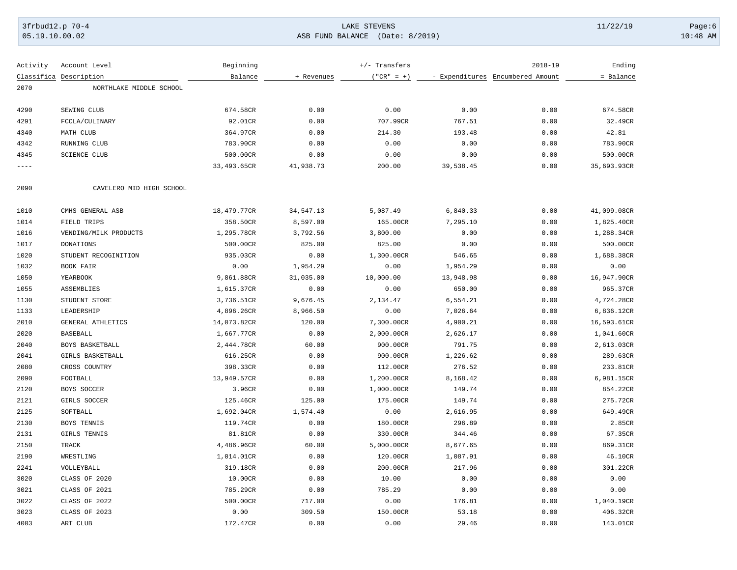# 3frbud12.p 70-4 LAKE STEVENS 11/22/19 Page:6 05.19.10.00.02 ASB FUND BALANCE (Date: 8/2019) 10:48 AM

| Activity | Account Level            | Beginning   |            | $+/-$ Transfers |           | $2018 - 19$                      | Ending      |
|----------|--------------------------|-------------|------------|-----------------|-----------|----------------------------------|-------------|
|          | Classifica Description   | Balance     | + Revenues | $("CR" = +)$    |           | - Expenditures Encumbered Amount | = Balance   |
| 2070     | NORTHLAKE MIDDLE SCHOOL  |             |            |                 |           |                                  |             |
|          |                          |             |            |                 |           |                                  |             |
| 4290     | SEWING CLUB              | 674.58CR    | 0.00       | 0.00            | 0.00      | 0.00                             | 674.58CR    |
| 4291     | FCCLA/CULINARY           | 92.01CR     | 0.00       | 707.99CR        | 767.51    | 0.00                             | 32.49CR     |
| 4340     | MATH CLUB                | 364.97CR    | 0.00       | 214.30          | 193.48    | 0.00                             | 42.81       |
| 4342     | RUNNING CLUB             | 783.90CR    | 0.00       | 0.00            | 0.00      | 0.00                             | 783.90CR    |
| 4345     | <b>SCIENCE CLUB</b>      | 500.00CR    | 0.00       | 0.00            | 0.00      | 0.00                             | 500.00CR    |
| ----     |                          | 33,493.65CR | 41,938.73  | 200.00          | 39,538.45 | 0.00                             | 35,693.93CR |
| 2090     | CAVELERO MID HIGH SCHOOL |             |            |                 |           |                                  |             |
| 1010     | CMHS GENERAL ASB         | 18,479.77CR | 34,547.13  | 5,087.49        | 6,840.33  | 0.00                             | 41,099.08CR |
| 1014     | FIELD TRIPS              | 358.50CR    | 8,597.00   | 165.00CR        | 7,295.10  | 0.00                             | 1,825.40CR  |
| 1016     | VENDING/MILK PRODUCTS    | 1,295.78CR  | 3,792.56   | 3,800.00        | 0.00      | 0.00                             | 1,288.34CR  |
| 1017     | DONATIONS                | 500.00CR    | 825.00     | 825.00          | 0.00      | 0.00                             | 500.00CR    |
| 1020     | STUDENT RECOGINITION     | 935.03CR    | 0.00       | 1,300.00CR      | 546.65    | 0.00                             | 1,688.38CR  |
| 1032     | BOOK FAIR                | 0.00        | 1,954.29   | 0.00            | 1,954.29  | 0.00                             | 0.00        |
| 1050     | YEARBOOK                 | 9,861.88CR  | 31,035.00  | 10,000.00       | 13,948.98 | 0.00                             | 16,947.90CR |
| 1055     | ASSEMBLIES               | 1,615.37CR  | 0.00       | 0.00            | 650.00    | 0.00                             | 965.37CR    |
| 1130     | STUDENT STORE            | 3,736.51CR  | 9,676.45   | 2,134.47        | 6,554.21  | 0.00                             | 4,724.28CR  |
| 1133     | LEADERSHIP               | 4,896.26CR  | 8,966.50   | 0.00            | 7,026.64  | 0.00                             | 6,836.12CR  |
| 2010     | GENERAL ATHLETICS        | 14,073.82CR | 120.00     | 7,300.00CR      | 4,900.21  | 0.00                             | 16,593.61CR |
| 2020     | <b>BASEBALL</b>          | 1,667.77CR  | 0.00       | 2,000.00CR      | 2,626.17  | 0.00                             | 1,041.60CR  |
| 2040     | BOYS BASKETBALL          | 2,444.78CR  | 60.00      | 900.00CR        | 791.75    | 0.00                             | 2,613.03CR  |
| 2041     | GIRLS BASKETBALL         | 616.25CR    | 0.00       | 900.00CR        | 1,226.62  | 0.00                             | 289.63CR    |
| 2080     | CROSS COUNTRY            | 398.33CR    | 0.00       | 112.00CR        | 276.52    | 0.00                             | 233.81CR    |
| 2090     | FOOTBALL                 | 13,949.57CR | 0.00       | 1,200.00CR      | 8,168.42  | 0.00                             | 6,981.15CR  |
| 2120     | BOYS SOCCER              | 3.96CR      | 0.00       | 1,000.00CR      | 149.74    | 0.00                             | 854.22CR    |
| 2121     | GIRLS SOCCER             | 125.46CR    | 125.00     | 175.00CR        | 149.74    | 0.00                             | 275.72CR    |
| 2125     | SOFTBALL                 | 1,692.04CR  | 1,574.40   | 0.00            | 2,616.95  | 0.00                             | 649.49CR    |
| 2130     | BOYS TENNIS              | 119.74CR    | 0.00       | 180.00CR        | 296.89    | 0.00                             | 2.85CR      |
| 2131     | GIRLS TENNIS             | 81.81CR     | 0.00       | 330.00CR        | 344.46    | 0.00                             | 67.35CR     |
| 2150     | TRACK                    | 4,486.96CR  | 60.00      | 5,000.00CR      | 8,677.65  | 0.00                             | 869.31CR    |
| 2190     | WRESTLING                | 1,014.01CR  | 0.00       | 120.00CR        | 1,087.91  | 0.00                             | 46.10CR     |
| 2241     | VOLLEYBALL               | 319.18CR    | 0.00       | 200.00CR        | 217.96    | 0.00                             | 301.22CR    |
| 3020     | CLASS OF 2020            | 10.00CR     | 0.00       | 10.00           | 0.00      | 0.00                             | 0.00        |
| 3021     | CLASS OF 2021            | 785.29CR    | 0.00       | 785.29          | 0.00      | 0.00                             | 0.00        |
| 3022     | CLASS OF 2022            | 500.00CR    | 717.00     | 0.00            | 176.81    | 0.00                             | 1,040.19CR  |
| 3023     | CLASS OF 2023            | 0.00        | 309.50     | 150.00CR        | 53.18     | 0.00                             | 406.32CR    |
| 4003     | ART CLUB                 | 172.47CR    | 0.00       | 0.00            | 29.46     | 0.00                             | 143.01CR    |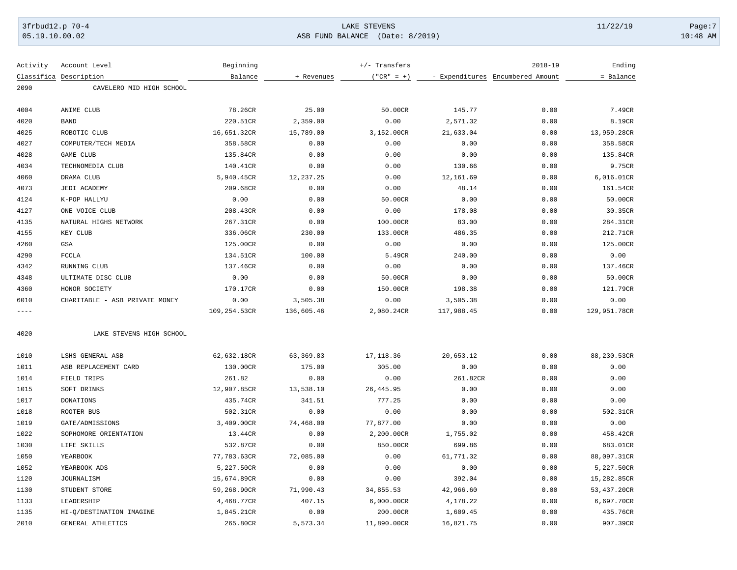# 3frbud12.p 70-4 LAKE STEVENS 11/22/19 Page:7 | 05.19.10.00.02 ASB FUND BALANCE (Date: 8/2019) 10:48 AM

| Activity   | Account Level                  | Beginning    |            | +/- Transfers |                                  | $2018 - 19$ | Ending       |
|------------|--------------------------------|--------------|------------|---------------|----------------------------------|-------------|--------------|
| Classifica | Description                    | Balance      | + Revenues | $("CR" = +)$  | - Expenditures Encumbered Amount |             | = Balance    |
| 2090       | CAVELERO MID HIGH SCHOOL       |              |            |               |                                  |             |              |
| 4004       | ANIME CLUB                     | 78.26CR      | 25.00      | 50.00CR       | 145.77                           | 0.00        | 7.49CR       |
| 4020       | <b>BAND</b>                    | 220.51CR     | 2,359.00   | 0.00          | 2,571.32                         | 0.00        | 8.19CR       |
| 4025       | ROBOTIC CLUB                   | 16,651.32CR  | 15,789.00  | 3,152.00CR    | 21,633.04                        | 0.00        | 13,959.28CR  |
| 4027       | COMPUTER/TECH MEDIA            | 358.58CR     | 0.00       | 0.00          | 0.00                             | 0.00        | 358.58CR     |
| 4028       | GAME CLUB                      | 135.84CR     | 0.00       | 0.00          | 0.00                             | 0.00        | 135.84CR     |
| 4034       | TECHNOMEDIA CLUB               | 140.41CR     | 0.00       | 0.00          | 130.66                           | 0.00        | 9.75CR       |
| 4060       | DRAMA CLUB                     | 5,940.45CR   | 12,237.25  | 0.00          | 12,161.69                        | 0.00        | 6,016.01CR   |
| 4073       | JEDI ACADEMY                   | 209.68CR     | 0.00       | 0.00          | 48.14                            | 0.00        | 161.54CR     |
| 4124       | K-POP HALLYU                   | 0.00         | 0.00       | 50.00CR       | 0.00                             | 0.00        | 50.00CR      |
| 4127       | ONE VOICE CLUB                 | 208.43CR     | 0.00       | 0.00          | 178.08                           | 0.00        | 30.35CR      |
| 4135       | NATURAL HIGHS NETWORK          | 267.31CR     | 0.00       | 100.00CR      | 83.00                            | 0.00        | 284.31CR     |
| 4155       | KEY CLUB                       | 336.06CR     | 230.00     | 133.00CR      | 486.35                           | 0.00        | 212.71CR     |
| 4260       | GSA                            | 125.00CR     | 0.00       | 0.00          | 0.00                             | 0.00        | 125.00CR     |
| 4290       | <b>FCCLA</b>                   | 134.51CR     | 100.00     | 5.49CR        | 240.00                           | 0.00        | 0.00         |
| 4342       | RUNNING CLUB                   | 137.46CR     | 0.00       | 0.00          | 0.00                             | 0.00        | 137.46CR     |
| 4348       | ULTIMATE DISC CLUB             | 0.00         | 0.00       | 50.00CR       | 0.00                             | 0.00        | 50.00CR      |
| 4360       | HONOR SOCIETY                  | 170.17CR     | 0.00       | 150.00CR      | 198.38                           | 0.00        | 121.79CR     |
| 6010       | CHARITABLE - ASB PRIVATE MONEY | 0.00         | 3,505.38   | 0.00          | 3,505.38                         | 0.00        | 0.00         |
| $- - - -$  |                                | 109,254.53CR | 136,605.46 | 2,080.24CR    | 117,988.45                       | 0.00        | 129,951.78CR |
| 4020       | LAKE STEVENS HIGH SCHOOL       |              |            |               |                                  |             |              |
| 1010       | LSHS GENERAL ASB               | 62,632.18CR  | 63, 369.83 | 17, 118.36    | 20,653.12                        | 0.00        | 88,230.53CR  |
| 1011       | ASB REPLACEMENT CARD           | 130.00CR     | 175.00     | 305.00        | 0.00                             | 0.00        | 0.00         |
| 1014       | FIELD TRIPS                    | 261.82       | 0.00       | 0.00          | 261.82CR                         | 0.00        | 0.00         |
| 1015       | SOFT DRINKS                    | 12,907.85CR  | 13,538.10  | 26, 445.95    | 0.00                             | 0.00        | 0.00         |
| 1017       | <b>DONATIONS</b>               | 435.74CR     | 341.51     | 777.25        | 0.00                             | 0.00        | 0.00         |
| 1018       | ROOTER BUS                     | 502.31CR     | 0.00       | 0.00          | 0.00                             | 0.00        | 502.31CR     |
| 1019       | GATE/ADMISSIONS                | 3,409.00CR   | 74,468.00  | 77,877.00     | 0.00                             | 0.00        | 0.00         |
| 1022       | SOPHOMORE ORIENTATION          | 13.44CR      | 0.00       | 2,200.00CR    | 1,755.02                         | 0.00        | 458.42CR     |
| 1030       | LIFE SKILLS                    | 532.87CR     | 0.00       | 850.00CR      | 699.86                           | 0.00        | 683.01CR     |
| 1050       | YEARBOOK                       | 77,783.63CR  | 72,085.00  | 0.00          | 61,771.32                        | 0.00        | 88,097.31CR  |
| 1052       | YEARBOOK ADS                   | 5,227.50CR   | 0.00       | 0.00          | 0.00                             | 0.00        | 5,227.50CR   |
| 1120       | <b>JOURNALISM</b>              | 15,674.89CR  | 0.00       | 0.00          | 392.04                           | 0.00        | 15,282.85CR  |
| 1130       | STUDENT STORE                  | 59,268.90CR  | 71,990.43  | 34,855.53     | 42,966.60                        | 0.00        | 53,437.20CR  |
| 1133       | LEADERSHIP                     | 4,468.77CR   | 407.15     | 6,000.00CR    | 4,178.22                         | 0.00        | 6,697.70CR   |
| 1135       | HI-Q/DESTINATION IMAGINE       | 1,845.21CR   | 0.00       | 200.00CR      | 1,609.45                         | 0.00        | 435.76CR     |
| 2010       | GENERAL ATHLETICS              | 265.80CR     | 5,573.34   | 11,890.00CR   | 16,821.75                        | 0.00        | 907.39CR     |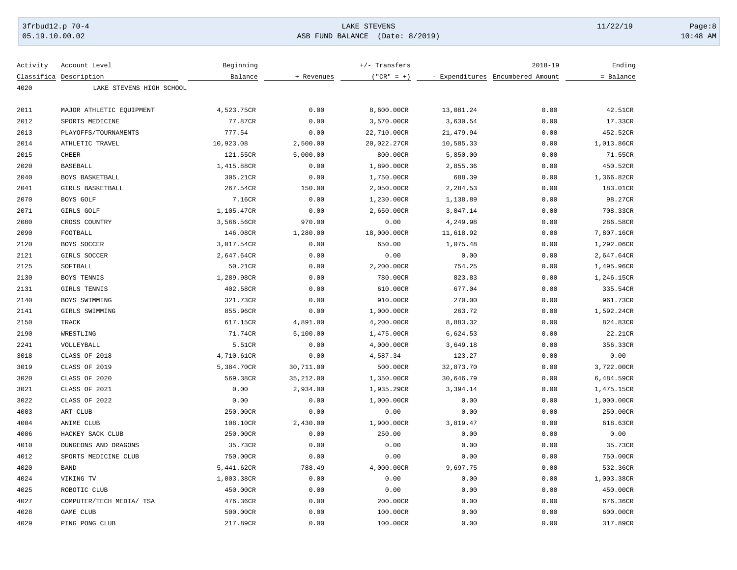# 3frbud12.p 70-4 Page:8 Page:8 Page:8 Page:8 Page:8 Page:8 Page:8 Page:8 Page:8 Page:8 Page:8 Page:8 Page:8 Page:8 Page:8 Page:8 Page:8 Page:8 Page:8 Page:8 Page:8 Page:8 Page:8 Page:8 Page:8 Page:8 Page:8 Page:8 Page:8 Pag 05.19.10.00.02 ASB FUND BALANCE (Date: 8/2019) 10:48 AM

| Activity     | Account Level            | Beginning           |            | $+/-$ Transfers |           | $2018 - 19$                      | Ending     |
|--------------|--------------------------|---------------------|------------|-----------------|-----------|----------------------------------|------------|
|              | Classifica Description   | Balance             | + Revenues | $('"CR" = +)$   |           | - Expenditures Encumbered Amount | = Balance  |
| 4020         | LAKE STEVENS HIGH SCHOOL |                     |            |                 |           |                                  |            |
|              |                          |                     |            |                 |           |                                  |            |
| 2011         | MAJOR ATHLETIC EQUIPMENT | 4,523.75CR          | 0.00       | 8,600.00CR      | 13,081.24 | 0.00                             | 42.51CR    |
| 2012         | SPORTS MEDICINE          | 77.87CR             | 0.00       | 3,570.00CR      | 3,630.54  | 0.00                             | 17.33CR    |
| 2013         | PLAYOFFS/TOURNAMENTS     | 777.54              | 0.00       | 22,710.00CR     | 21,479.94 | 0.00                             | 452.52CR   |
| 2014         | ATHLETIC TRAVEL          | 10,923.08           | 2,500.00   | 20,022.27CR     | 10,585.33 | 0.00                             | 1,013.86CR |
| 2015         | <b>CHEER</b>             | 121.55CR            | 5,000.00   | 800.00CR        | 5,850.00  | 0.00                             | 71.55CR    |
| 2020         | <b>BASEBALL</b>          | 1,415.88CR          | 0.00       | 1,890.00CR      | 2,855.36  | 0.00                             | 450.52CR   |
| 2040         | BOYS BASKETBALL          | 305.21CR            | 0.00       | 1,750.00CR      | 688.39    | 0.00                             | 1,366.82CR |
| 2041         | GIRLS BASKETBALL         | 267.54CR            | 150.00     | 2,050.00CR      | 2,284.53  | 0.00                             | 183.01CR   |
| 2070         | BOYS GOLF                | 7.16CR              | 0.00       | 1,230.00CR      | 1,138.89  | 0.00                             | 98.27CR    |
| 2071         | GIRLS GOLF               | 1,105.47CR          | 0.00       | 2,650.00CR      | 3,047.14  | 0.00                             | 708.33CR   |
| 2080         | CROSS COUNTRY            | 3,566.56CR          | 970.00     | 0.00            | 4,249.98  | 0.00                             | 286.58CR   |
| 2090         | FOOTBALL                 | 146.08CR            | 1,280.00   | 18,000.00CR     | 11,618.92 | 0.00                             | 7,807.16CR |
| 2120         | BOYS SOCCER              | 3,017.54CR          | 0.00       | 650.00          | 1,075.48  | 0.00                             | 1,292.06CR |
| 2121         | GIRLS SOCCER             | 2,647.64CR          | 0.00       | 0.00            | 0.00      | 0.00                             | 2,647.64CR |
| 2125         | SOFTBALL                 | 50.21CR             | 0.00       | 2,200.00CR      | 754.25    | 0.00                             | 1,495.96CR |
| 2130         | BOYS TENNIS              | 1,289.98CR          | 0.00       | 780.00CR        | 823.83    | 0.00                             | 1,246.15CR |
| 2131         | GIRLS TENNIS             | 402.58CR            | 0.00       | 610.00CR        | 677.04    | 0.00                             | 335.54CR   |
| 2140         | BOYS SWIMMING            | 321.73CR            | 0.00       | 910.00CR        | 270.00    | 0.00                             | 961.73CR   |
| 2141         | GIRLS SWIMMING           | 855.96CR            | 0.00       | 1,000.00CR      | 263.72    | 0.00                             | 1,592.24CR |
| 2150         | TRACK                    | 617.15CR            | 4,891.00   | 4,200.00CR      | 8,883.32  | 0.00                             | 824.83CR   |
| 2190         | WRESTLING                | 71.74CR             | 5,100.00   | 1,475.00CR      | 6,624.53  | 0.00                             | 22.21CR    |
| 2241         | VOLLEYBALL               | 5.51CR              | 0.00       | 4,000.00CR      | 3,649.18  | 0.00                             | 356.33CR   |
| 3018         | CLASS OF 2018            | 4,710.61CR          | 0.00       | 4,587.34        | 123.27    | 0.00                             | 0.00       |
| 3019         | CLASS OF 2019            | 5,384.70CR          | 30,711.00  | 500.00CR        | 32,873.70 | 0.00                             | 3,722.00CR |
| 3020         | CLASS OF 2020            | 569.38CR            | 35,212.00  | 1,350.00CR      | 30,646.79 | 0.00                             | 6,484.59CR |
| 3021         | CLASS OF 2021            | 0.00                | 2,934.00   | 1,935.29CR      | 3,394.14  | 0.00                             | 1,475.15CR |
| 3022         | CLASS OF 2022            | 0.00                | 0.00       | 1,000.00CR      | 0.00      | 0.00                             | 1,000.00CR |
| 4003         | ART CLUB                 | 250.00CR            | 0.00       | 0.00            | 0.00      | 0.00                             | 250.00CR   |
| 4004         | ANIME CLUB               | 108.10CR            | 2,430.00   | 1,900.00CR      | 3,819.47  | 0.00                             | 618.63CR   |
| 4006         | HACKEY SACK CLUB         | 250.00CR            | 0.00       | 250.00          | 0.00      | 0.00                             | 0.00       |
|              | DUNGEONS AND DRAGONS     |                     |            |                 |           |                                  |            |
| 4010<br>4012 |                          | 35.73CR<br>750.00CR | 0.00       | 0.00<br>0.00    | 0.00      | 0.00<br>0.00                     | 35.73CR    |
|              | SPORTS MEDICINE CLUB     |                     | 0.00       |                 | 0.00      |                                  | 750.00CR   |
| 4020         | <b>BAND</b>              | 5,441.62CR          | 788.49     | 4,000.00CR      | 9,697.75  | 0.00                             | 532.36CR   |
| 4024         | VIKING TV                | 1,003.38CR          | 0.00       | 0.00            | 0.00      | 0.00                             | 1,003.38CR |
| 4025         | ROBOTIC CLUB             | 450.00CR            | 0.00       | 0.00            | 0.00      | 0.00                             | 450.00CR   |
| 4027         | COMPUTER/TECH MEDIA/ TSA | 476.36CR            | 0.00       | 200.00CR        | 0.00      | 0.00                             | 676.36CR   |
| 4028         | GAME CLUB                | 500.00CR            | 0.00       | 100.00CR        | 0.00      | 0.00                             | 600.00CR   |
| 4029         | PING PONG CLUB           | 217.89CR            | 0.00       | 100.00CR        | 0.00      | 0.00                             | 317.89CR   |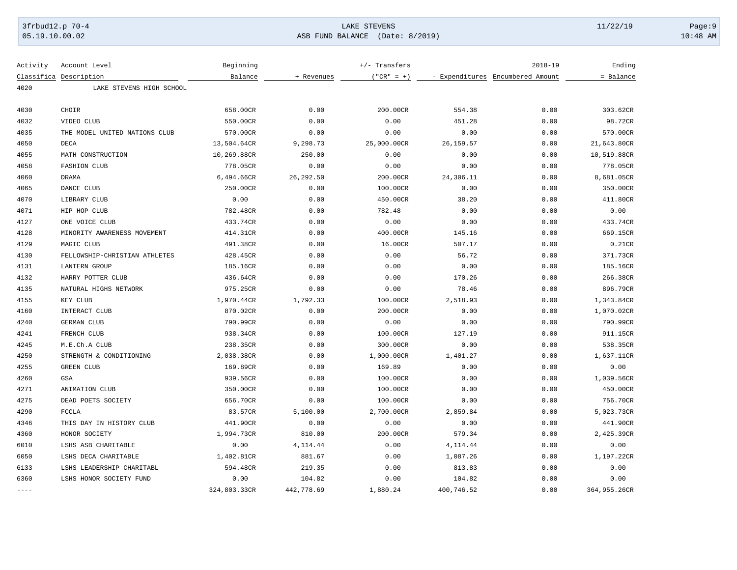# 3frbud12.p 70-4 Page:9 Page:9 Page:9 Page:9 Page:9 Page:9 Page:9 Page:9 Page:9 Page:9 Page:9 Page:9 Page:9 Page:9 Page:9 Page:9 Page:9 Page:9 Page:9 Page:9 Page:9 Page:9 Page:9 Page:9 Page:9 Page:9 Page:9 Page:9 Page:9 Pag 05.19.10.00.02 ASB FUND BALANCE (Date: 8/2019) 10:48 AM

| Activity    | Account Level                 | Beginning    |            | +/- Transfers |            | $2018 - 19$                      | Ending       |
|-------------|-------------------------------|--------------|------------|---------------|------------|----------------------------------|--------------|
|             | Classifica Description        | Balance      | + Revenues | $("CR" = +)$  |            | - Expenditures Encumbered Amount | = Balance    |
| 4020        | LAKE STEVENS HIGH SCHOOL      |              |            |               |            |                                  |              |
| 4030        | CHOIR                         | 658.00CR     | 0.00       | 200.00CR      | 554.38     | 0.00                             | 303.62CR     |
| 4032        | VIDEO CLUB                    | 550.00CR     | 0.00       | 0.00          | 451.28     | 0.00                             | 98.72CR      |
| 4035        | THE MODEL UNITED NATIONS CLUB | 570.00CR     | 0.00       | 0.00          | 0.00       | 0.00                             | 570.00CR     |
| 4050        | DECA                          | 13,504.64CR  | 9,298.73   | 25,000.00CR   | 26, 159.57 | 0.00                             | 21,643.80CR  |
| 4055        | MATH CONSTRUCTION             | 10,269.88CR  | 250.00     | 0.00          | 0.00       | 0.00                             | 10,519.88CR  |
| 4058        | <b>FASHION CLUB</b>           | 778.05CR     | 0.00       | 0.00          | 0.00       | 0.00                             | 778.05CR     |
| 4060        | <b>DRAMA</b>                  | 6,494.66CR   | 26, 292.50 | 200.00CR      | 24,306.11  | 0.00                             | 8,681.05CR   |
| 4065        | DANCE CLUB                    | 250.00CR     | 0.00       | 100.00CR      | 0.00       | 0.00                             | 350.00CR     |
| 4070        | LIBRARY CLUB                  | 0.00         | 0.00       | 450.00CR      | 38.20      | 0.00                             | 411.80CR     |
| 4071        | HIP HOP CLUB                  | 782.48CR     | 0.00       | 782.48        | 0.00       | 0.00                             | 0.00         |
| 4127        | ONE VOICE CLUB                | 433.74CR     | 0.00       | 0.00          | 0.00       | 0.00                             | 433.74CR     |
| 4128        | MINORITY AWARENESS MOVEMENT   | 414.31CR     | 0.00       | 400.00CR      | 145.16     | 0.00                             | 669.15CR     |
| 4129        | MAGIC CLUB                    | 491.38CR     | 0.00       | 16.00CR       | 507.17     | 0.00                             | 0.21CR       |
| 4130        | FELLOWSHIP-CHRISTIAN ATHLETES | 428.45CR     | 0.00       | 0.00          | 56.72      | 0.00                             | 371.73CR     |
| 4131        | <b>LANTERN GROUP</b>          | 185.16CR     | 0.00       | 0.00          | 0.00       | 0.00                             | 185.16CR     |
| 4132        | HARRY POTTER CLUB             | 436.64CR     | 0.00       | 0.00          | 170.26     | 0.00                             | 266.38CR     |
| 4135        | NATURAL HIGHS NETWORK         | 975.25CR     | 0.00       | 0.00          | 78.46      | 0.00                             | 896.79CR     |
| 4155        | KEY CLUB                      | 1,970.44CR   | 1,792.33   | 100.00CR      | 2,518.93   | 0.00                             | 1,343.84CR   |
| 4160        | INTERACT CLUB                 | 870.02CR     | 0.00       | 200.00CR      | 0.00       | 0.00                             | 1,070.02CR   |
| 4240        | <b>GERMAN CLUB</b>            | 790.99CR     | 0.00       | 0.00          | 0.00       | 0.00                             | 790.99CR     |
| 4241        | FRENCH CLUB                   | 938.34CR     | 0.00       | 100.00CR      | 127.19     | 0.00                             | 911.15CR     |
| 4245        | M.E.Ch.A CLUB                 | 238.35CR     | 0.00       | 300.00CR      | 0.00       | 0.00                             | 538.35CR     |
| 4250        | STRENGTH & CONDITIONING       | 2,038.38CR   | 0.00       | 1,000.00CR    | 1,401.27   | 0.00                             | 1,637.11CR   |
| 4255        | <b>GREEN CLUB</b>             | 169.89CR     | 0.00       | 169.89        | 0.00       | 0.00                             | 0.00         |
| 4260        | GSA                           | 939.56CR     | 0.00       | 100.00CR      | 0.00       | 0.00                             | 1,039.56CR   |
| 4271        | ANIMATION CLUB                | 350.00CR     | 0.00       | 100.00CR      | 0.00       | 0.00                             | 450.00CR     |
| 4275        | DEAD POETS SOCIETY            | 656.70CR     | 0.00       | 100.00CR      | 0.00       | 0.00                             | 756.70CR     |
| 4290        | <b>FCCLA</b>                  | 83.57CR      | 5,100.00   | 2,700.00CR    | 2,859.84   | 0.00                             | 5,023.73CR   |
| 4346        | THIS DAY IN HISTORY CLUB      | 441.90CR     | 0.00       | 0.00          | 0.00       | 0.00                             | 441.90CR     |
| 4360        | HONOR SOCIETY                 | 1,994.73CR   | 810.00     | 200.00CR      | 579.34     | 0.00                             | 2,425.39CR   |
| 6010        | LSHS ASB CHARITABLE           | 0.00         | 4, 114.44  | 0.00          | 4, 114. 44 | 0.00                             | 0.00         |
| 6050        | LSHS DECA CHARITABLE          | 1,402.81CR   | 881.67     | 0.00          | 1,087.26   | 0.00                             | 1,197.22CR   |
| 6133        | LSHS LEADERSHIP CHARITABL     | 594.48CR     | 219.35     | 0.00          | 813.83     | 0.00                             | 0.00         |
| 6360        | LSHS HONOR SOCIETY FUND       | 0.00         | 104.82     | 0.00          | 104.82     | 0.00                             | 0.00         |
| $- - - - -$ |                               | 324,803.33CR | 442,778.69 | 1,880.24      | 400,746.52 | 0.00                             | 364,955.26CR |